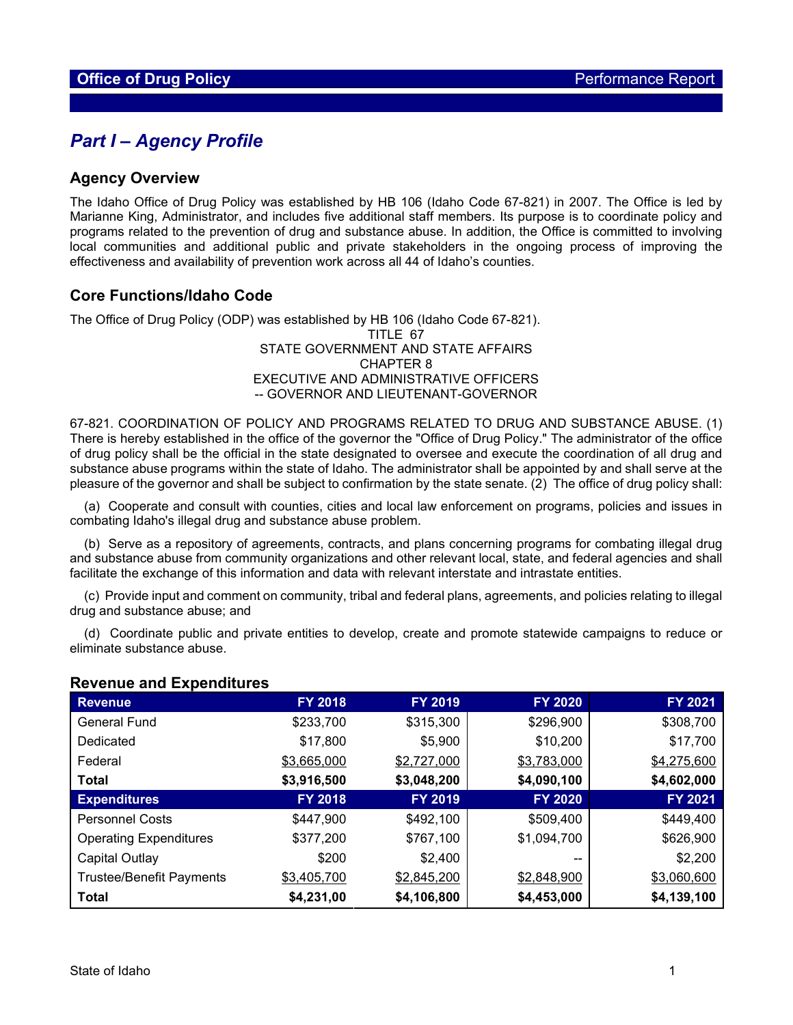## *Part I – Agency Profile*

#### **Agency Overview**

The Idaho Office of Drug Policy was established by HB 106 (Idaho Code 67-821) in 2007. The Office is led by Marianne King, Administrator, and includes five additional staff members. Its purpose is to coordinate policy and programs related to the prevention of drug and substance abuse. In addition, the Office is committed to involving local communities and additional public and private stakeholders in the ongoing process of improving the effectiveness and availability of prevention work across all 44 of Idaho's counties.

### **Core Functions/Idaho Code**

The Office of Drug Policy (ODP) was established by HB 106 (Idaho Code 67-821). TITLE 67 STATE GOVERNMENT AND STATE AFFAIRS CHAPTER 8 EXECUTIVE AND ADMINISTRATIVE OFFICERS -- GOVERNOR AND LIEUTENANT-GOVERNOR

67-821. COORDINATION OF POLICY AND PROGRAMS RELATED TO DRUG AND SUBSTANCE ABUSE. (1) There is hereby established in the office of the governor the "Office of Drug Policy." The administrator of the office of drug policy shall be the official in the state designated to oversee and execute the coordination of all drug and substance abuse programs within the state of Idaho. The administrator shall be appointed by and shall serve at the pleasure of the governor and shall be subject to confirmation by the state senate. (2) The office of drug policy shall:

 (a) Cooperate and consult with counties, cities and local law enforcement on programs, policies and issues in combating Idaho's illegal drug and substance abuse problem.

 (b) Serve as a repository of agreements, contracts, and plans concerning programs for combating illegal drug and substance abuse from community organizations and other relevant local, state, and federal agencies and shall facilitate the exchange of this information and data with relevant interstate and intrastate entities.

 (c) Provide input and comment on community, tribal and federal plans, agreements, and policies relating to illegal drug and substance abuse; and

 (d) Coordinate public and private entities to develop, create and promote statewide campaigns to reduce or eliminate substance abuse.

| <b>Revenue</b>                  | <b>FY 2018</b> | <b>FY 2019</b> | <b>FY 2020</b> | <b>FY 2021</b> |
|---------------------------------|----------------|----------------|----------------|----------------|
| <b>General Fund</b>             | \$233,700      | \$315,300      | \$296,900      | \$308,700      |
| Dedicated                       | \$17,800       | \$5,900        | \$10,200       | \$17,700       |
| Federal                         | \$3,665,000    | \$2,727,000    | \$3,783,000    | \$4,275,600    |
| Total                           | \$3,916,500    | \$3,048,200    | \$4,090,100    | \$4,602,000    |
| <b>Expenditures</b>             | <b>FY 2018</b> | <b>FY 2019</b> | <b>FY 2020</b> | <b>FY 2021</b> |
| <b>Personnel Costs</b>          | \$447,900      | \$492,100      | \$509,400      | \$449,400      |
| <b>Operating Expenditures</b>   | \$377,200      | \$767,100      | \$1,094,700    | \$626,900      |
| Capital Outlay                  | \$200          | \$2,400        | --             | \$2,200        |
| <b>Trustee/Benefit Payments</b> | \$3,405,700    | \$2,845,200    | \$2,848,900    | \$3,060,600    |
| <b>Total</b>                    | \$4,231,00     | \$4,106,800    | \$4,453,000    | \$4,139,100    |

#### **Revenue and Expenditures**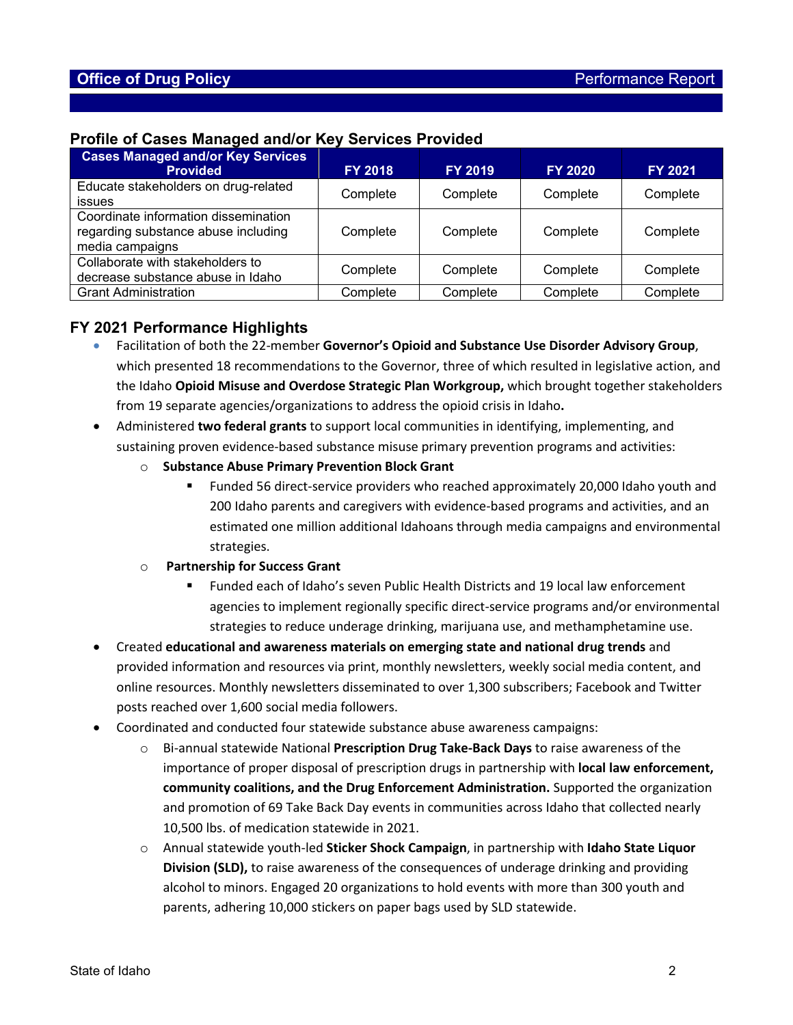### **Profile of Cases Managed and/or Key Services Provided**

| <b>Cases Managed and/or Key Services</b><br><b>Provided</b>                                    | <b>FY 2018</b> | <b>FY 2019</b> | <b>FY 2020</b> | <b>FY 2021</b> |
|------------------------------------------------------------------------------------------------|----------------|----------------|----------------|----------------|
| Educate stakeholders on drug-related<br><b>issues</b>                                          | Complete       | Complete       | Complete       | Complete       |
| Coordinate information dissemination<br>regarding substance abuse including<br>media campaigns | Complete       | Complete       | Complete       | Complete       |
| Collaborate with stakeholders to<br>decrease substance abuse in Idaho                          | Complete       | Complete       | Complete       | Complete       |
| <b>Grant Administration</b>                                                                    | Complete       | Complete       | Complete       | Complete       |

## **FY 2021 Performance Highlights**

- Facilitation of both the 22-member **Governor's Opioid and Substance Use Disorder Advisory Group**, which presented 18 recommendations to the Governor, three of which resulted in legislative action, and the Idaho **Opioid Misuse and Overdose Strategic Plan Workgroup,** which brought together stakeholders from 19 separate agencies/organizations to address the opioid crisis in Idaho**.**
- Administered **two federal grants** to support local communities in identifying, implementing, and sustaining proven evidence-based substance misuse primary prevention programs and activities:
	- o **Substance Abuse Primary Prevention Block Grant** 
		- Funded 56 direct-service providers who reached approximately 20,000 Idaho youth and 200 Idaho parents and caregivers with evidence-based programs and activities, and an estimated one million additional Idahoans through media campaigns and environmental strategies.
	- o **Partnership for Success Grant** 
		- Funded each of Idaho's seven Public Health Districts and 19 local law enforcement agencies to implement regionally specific direct-service programs and/or environmental strategies to reduce underage drinking, marijuana use, and methamphetamine use.
- Created **educational and awareness materials on emerging state and national drug trends** and provided information and resources via print, monthly newsletters, weekly social media content, and online resources. Monthly newsletters disseminated to over 1,300 subscribers; Facebook and Twitter posts reached over 1,600 social media followers.
- Coordinated and conducted four statewide substance abuse awareness campaigns:
	- o Bi-annual statewide National **Prescription Drug Take-Back Days** to raise awareness of the importance of proper disposal of prescription drugs in partnership with **local law enforcement, community coalitions, and the Drug Enforcement Administration.** Supported the organization and promotion of 69 Take Back Day events in communities across Idaho that collected nearly 10,500 lbs. of medication statewide in 2021.
	- o Annual statewide youth-led **Sticker Shock Campaign**, in partnership with **Idaho State Liquor Division (SLD),** to raise awareness of the consequences of underage drinking and providing alcohol to minors. Engaged 20 organizations to hold events with more than 300 youth and parents, adhering 10,000 stickers on paper bags used by SLD statewide.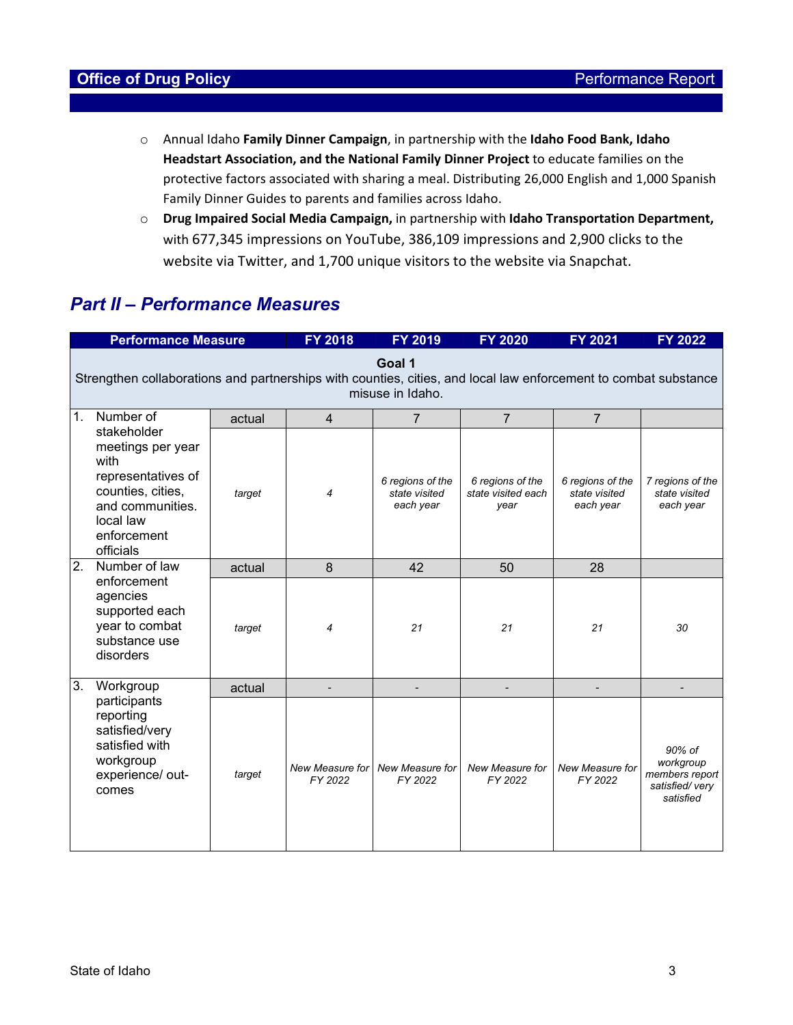- o Annual Idaho **Family Dinner Campaign**, in partnership with the **Idaho Food Bank, Idaho Headstart Association, and the National Family Dinner Project** to educate families on the protective factors associated with sharing a meal. Distributing 26,000 English and 1,000 Spanish Family Dinner Guides to parents and families across Idaho.
- o **Drug Impaired Social Media Campaign,** in partnership with **Idaho Transportation Department,**  with 677,345 impressions on YouTube, 386,109 impressions and 2,900 clicks to the website via Twitter, and 1,700 unique visitors to the website via Snapchat.

# *Part II – Performance Measures*

|    | <b>Performance Measure</b>                                                                                                                       |        | <b>FY 2018</b>                    | <b>FY 2019</b>                                 | FY 2020                                        | <b>FY 2021</b>                                 | FY 2022                                                              |  |
|----|--------------------------------------------------------------------------------------------------------------------------------------------------|--------|-----------------------------------|------------------------------------------------|------------------------------------------------|------------------------------------------------|----------------------------------------------------------------------|--|
|    | Goal 1<br>Strengthen collaborations and partnerships with counties, cities, and local law enforcement to combat substance<br>misuse in Idaho.    |        |                                   |                                                |                                                |                                                |                                                                      |  |
| 1. | Number of                                                                                                                                        | actual | 4                                 | $\overline{7}$                                 | $\overline{7}$                                 | $\overline{7}$                                 |                                                                      |  |
|    | stakeholder<br>meetings per year<br>with<br>representatives of<br>counties, cities,<br>and communities.<br>local law<br>enforcement<br>officials | target | 4                                 | 6 regions of the<br>state visited<br>each year | 6 regions of the<br>state visited each<br>vear | 6 regions of the<br>state visited<br>each year | 7 regions of the<br>state visited<br>each year                       |  |
| 2. | Number of law<br>enforcement<br>agencies<br>supported each<br>year to combat<br>substance use<br>disorders                                       | actual | 8                                 | 42                                             | 50                                             | 28                                             |                                                                      |  |
|    |                                                                                                                                                  | target | 4                                 | 21                                             | 21                                             | 21                                             | 30                                                                   |  |
| 3. | Workgroup<br>participants<br>reporting<br>satisfied/very<br>satisfied with<br>workgroup<br>experience/ out-<br>comes                             | actual |                                   |                                                |                                                |                                                |                                                                      |  |
|    |                                                                                                                                                  | target | <b>New Measure for</b><br>FY 2022 | New Measure for<br>FY 2022                     | New Measure for<br>FY 2022                     | <b>New Measure for</b><br>FY 2022              | 90% of<br>workgroup<br>members report<br>satisfied/very<br>satisfied |  |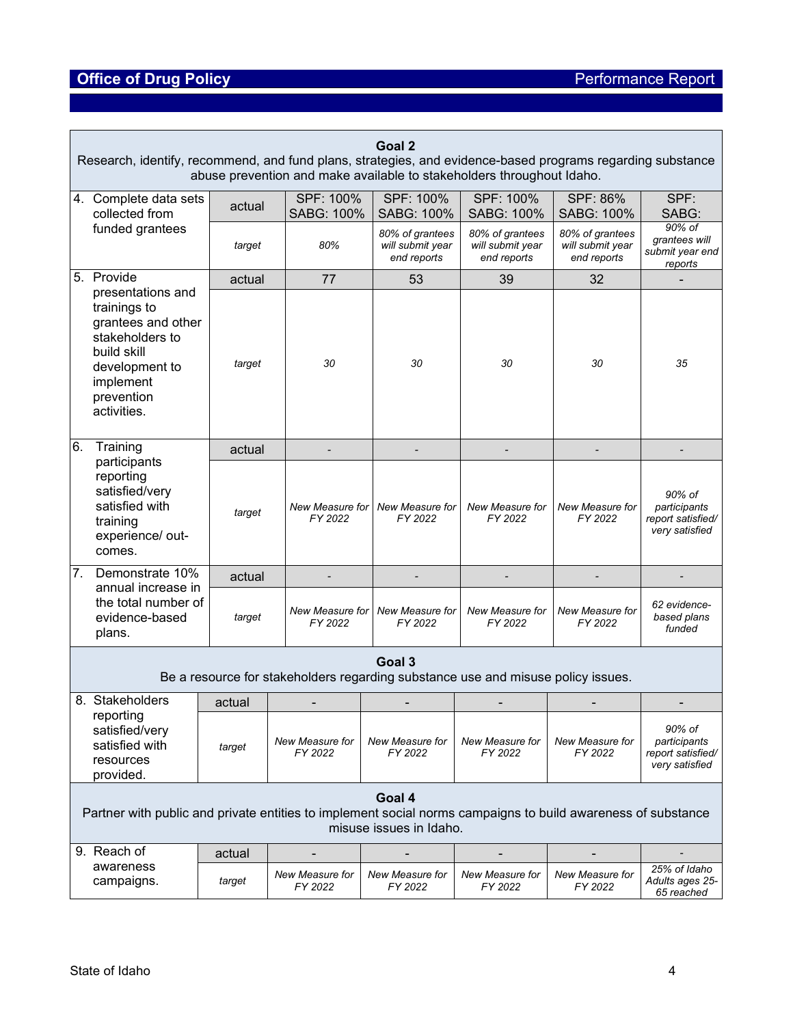# **Office of Drug Policy Property Act 2018 19:30 Performance Report**

| Goal 2<br>Research, identify, recommend, and fund plans, strategies, and evidence-based programs regarding substance<br>abuse prevention and make available to stakeholders throughout Idaho. |                                  |        |  |                                   |  |                                                    |                                                    |                                                    |                                                               |
|-----------------------------------------------------------------------------------------------------------------------------------------------------------------------------------------------|----------------------------------|--------|--|-----------------------------------|--|----------------------------------------------------|----------------------------------------------------|----------------------------------------------------|---------------------------------------------------------------|
| 4. Complete data sets<br>collected from                                                                                                                                                       |                                  |        |  | SPF: 100%<br>SABG: 100%           |  | SPF: 100%<br>SABG: 100%                            | SPF: 100%<br>SABG: 100%                            | SPF: 86%<br>SABG: 100%                             | SPF:<br>SABG:                                                 |
| funded grantees                                                                                                                                                                               |                                  | target |  | 80%                               |  | 80% of grantees<br>will submit year<br>end reports | 80% of grantees<br>will submit year<br>end reports | 80% of grantees<br>will submit year<br>end reports | 90% of<br>grantees will<br>submit year end<br>reports         |
| 5. Provide                                                                                                                                                                                    |                                  |        |  | 77                                |  | 53                                                 | 39                                                 | 32                                                 |                                                               |
| presentations and<br>trainings to<br>grantees and other<br>stakeholders to<br>build skill<br>development to<br>implement<br>prevention<br>activities.                                         |                                  | target |  | 30                                |  | 30                                                 | 30                                                 | 30                                                 | 35                                                            |
| Training<br>6.                                                                                                                                                                                |                                  | actual |  |                                   |  |                                                    |                                                    |                                                    |                                                               |
| reporting<br>satisfied/very<br>satisfied with<br>training<br>comes.                                                                                                                           | participants<br>experience/ out- |        |  | New Measure for<br>FY 2022        |  | New Measure for<br>FY 2022                         | New Measure for<br>FY 2022                         | New Measure for<br>FY 2022                         | 90% of<br>participants<br>report satisfied/<br>very satisfied |
| 7.                                                                                                                                                                                            | Demonstrate 10%                  |        |  |                                   |  |                                                    |                                                    |                                                    |                                                               |
| annual increase in<br>the total number of<br>evidence-based<br>plans.                                                                                                                         |                                  | target |  | New Measure for<br>FY 2022        |  | New Measure for<br>FY 2022                         | New Measure for<br>FY 2022                         | New Measure for<br>FY 2022                         | 62 evidence-<br>based plans<br>funded                         |
| Goal 3<br>Be a resource for stakeholders regarding substance use and misuse policy issues.                                                                                                    |                                  |        |  |                                   |  |                                                    |                                                    |                                                    |                                                               |
| 8. Stakeholders                                                                                                                                                                               |                                  | actual |  |                                   |  |                                                    |                                                    |                                                    |                                                               |
| reporting<br>satisfied/very<br>satisfied with<br>resources<br>provided.                                                                                                                       |                                  | target |  | New Measure for<br>FY 2022        |  | New Measure for<br>FY 2022                         | New Measure for<br>FY 2022                         | New Measure for<br>FY 2022                         | 90% of<br>participants<br>report satisfied/<br>very satisfied |
| Goal 4<br>Partner with public and private entities to implement social norms campaigns to build awareness of substance<br>misuse issues in Idaho.                                             |                                  |        |  |                                   |  |                                                    |                                                    |                                                    |                                                               |
| 9. Reach of                                                                                                                                                                                   |                                  | actual |  |                                   |  |                                                    |                                                    |                                                    |                                                               |
| awareness<br>campaigns.                                                                                                                                                                       |                                  | target |  | <b>New Measure for</b><br>FY 2022 |  | New Measure for<br>FY 2022                         | New Measure for<br>FY 2022                         | New Measure for<br>FY 2022                         | 25% of Idaho<br>Adults ages 25-<br>65 reached                 |